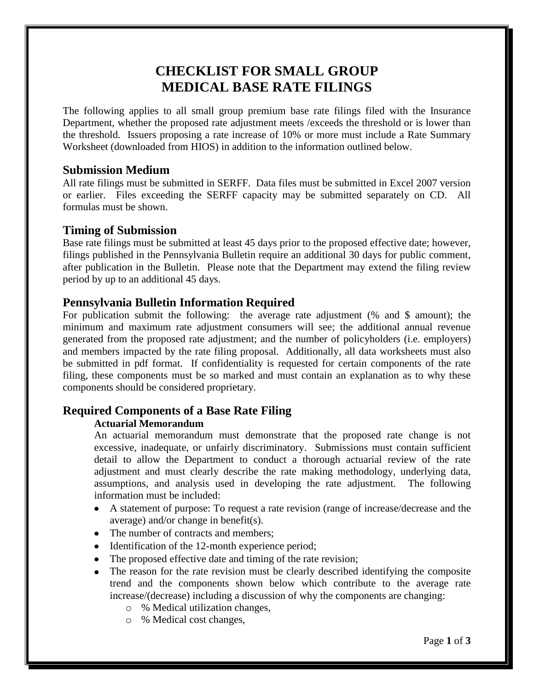# **CHECKLIST FOR SMALL GROUP MEDICAL BASE RATE FILINGS**

The following applies to all small group premium base rate filings filed with the Insurance Department, whether the proposed rate adjustment meets /exceeds the threshold or is lower than the threshold. Issuers proposing a rate increase of 10% or more must include a Rate Summary Worksheet (downloaded from HIOS) in addition to the information outlined below.

### **Submission Medium**

All rate filings must be submitted in SERFF. Data files must be submitted in Excel 2007 version or earlier. Files exceeding the SERFF capacity may be submitted separately on CD. All formulas must be shown.

### **Timing of Submission**

Base rate filings must be submitted at least 45 days prior to the proposed effective date; however, filings published in the Pennsylvania Bulletin require an additional 30 days for public comment, after publication in the Bulletin. Please note that the Department may extend the filing review period by up to an additional 45 days.

## **Pennsylvania Bulletin Information Required**

For publication submit the following: the average rate adjustment (% and \$ amount); the minimum and maximum rate adjustment consumers will see; the additional annual revenue generated from the proposed rate adjustment; and the number of policyholders (i.e. employers) and members impacted by the rate filing proposal. Additionally, all data worksheets must also be submitted in pdf format. If confidentiality is requested for certain components of the rate filing, these components must be so marked and must contain an explanation as to why these components should be considered proprietary.

# **Required Components of a Base Rate Filing**

### **Actuarial Memorandum**

An actuarial memorandum must demonstrate that the proposed rate change is not excessive, inadequate, or unfairly discriminatory. Submissions must contain sufficient detail to allow the Department to conduct a thorough actuarial review of the rate adjustment and must clearly describe the rate making methodology, underlying data, assumptions, and analysis used in developing the rate adjustment. The following information must be included:

- A statement of purpose: To request a rate revision (range of increase/decrease and the average) and/or change in benefit(s).
- The number of contracts and members:
- Identification of the 12-month experience period;
- The proposed effective date and timing of the rate revision;
- The reason for the rate revision must be clearly described identifying the composite trend and the components shown below which contribute to the average rate increase/(decrease) including a discussion of why the components are changing:
	- o % Medical utilization changes,
	- o % Medical cost changes,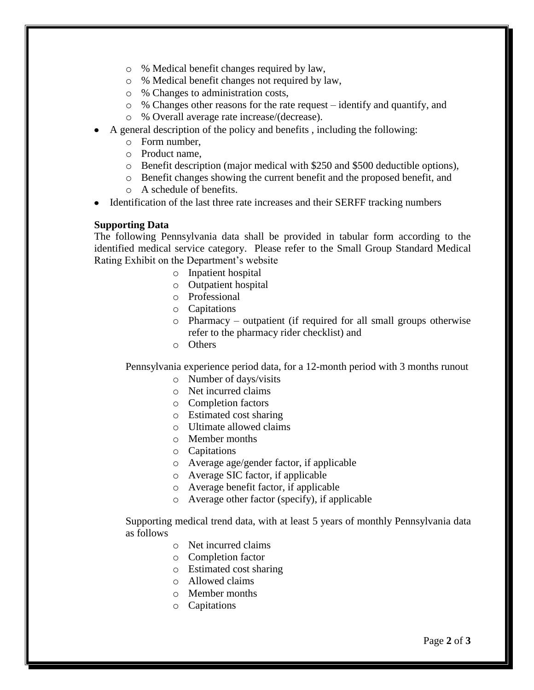- o % Medical benefit changes required by law,
- o % Medical benefit changes not required by law,
- o % Changes to administration costs,
- o % Changes other reasons for the rate request identify and quantify, and
- o % Overall average rate increase/(decrease).
- A general description of the policy and benefits , including the following:
	- o Form number,
	- o Product name,
	- o Benefit description (major medical with \$250 and \$500 deductible options),
	- o Benefit changes showing the current benefit and the proposed benefit, and
	- o A schedule of benefits.
- Identification of the last three rate increases and their SERFF tracking numbers

### **Supporting Data**

The following Pennsylvania data shall be provided in tabular form according to the identified medical service category. Please refer to the Small Group Standard Medical Rating Exhibit on the Department's website

- o Inpatient hospital
- o Outpatient hospital
- o Professional
- o Capitations
- o Pharmacy outpatient (if required for all small groups otherwise refer to the pharmacy rider checklist) and
- o Others

Pennsylvania experience period data, for a 12-month period with 3 months runout

- o Number of days/visits
- o Net incurred claims
- o Completion factors
- o Estimated cost sharing
- o Ultimate allowed claims
- o Member months
- o Capitations
- o Average age/gender factor, if applicable
- o Average SIC factor, if applicable
- o Average benefit factor, if applicable
- o Average other factor (specify), if applicable

Supporting medical trend data, with at least 5 years of monthly Pennsylvania data as follows

- o Net incurred claims
- o Completion factor
- o Estimated cost sharing
- o Allowed claims
- o Member months
- o Capitations